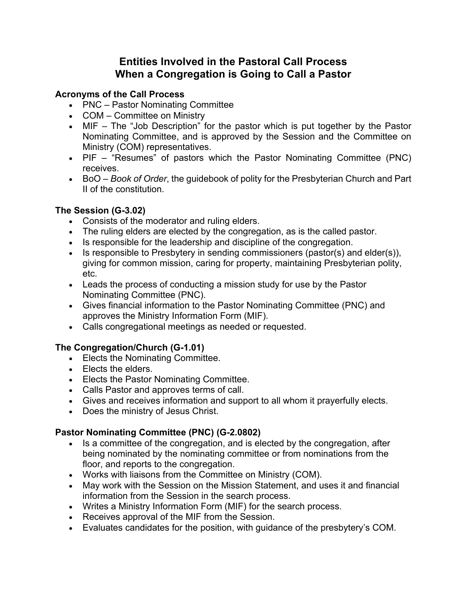# **Entities Involved in the Pastoral Call Process When a Congregation is Going to Call a Pastor**

#### **Acronyms of the Call Process**

- PNC Pastor Nominating Committee
- COM Committee on Ministry
- MIF The "Job Description" for the pastor which is put together by the Pastor Nominating Committee, and is approved by the Session and the Committee on Ministry (COM) representatives.
- PIF "Resumes" of pastors which the Pastor Nominating Committee (PNC) receives.
- BoO *Book of Order*, the guidebook of polity for the Presbyterian Church and Part II of the constitution.

### **The Session (G-3.02)**

- Consists of the moderator and ruling elders.
- The ruling elders are elected by the congregation, as is the called pastor.
- Is responsible for the leadership and discipline of the congregation.
- Is responsible to Presbytery in sending commissioners (pastor(s) and elder(s)), giving for common mission, caring for property, maintaining Presbyterian polity, etc.
- Leads the process of conducting a mission study for use by the Pastor Nominating Committee (PNC).
- Gives financial information to the Pastor Nominating Committee (PNC) and approves the Ministry Information Form (MIF).
- Calls congregational meetings as needed or requested.

## **The Congregation/Church (G-1.01)**

- Elects the Nominating Committee.
- Elects the elders.
- Elects the Pastor Nominating Committee.
- Calls Pastor and approves terms of call.
- Gives and receives information and support to all whom it prayerfully elects.
- Does the ministry of Jesus Christ.

## **Pastor Nominating Committee (PNC) (G-2.0802)**

- Is a committee of the congregation, and is elected by the congregation, after being nominated by the nominating committee or from nominations from the floor, and reports to the congregation.
- Works with liaisons from the Committee on Ministry (COM).
- May work with the Session on the Mission Statement, and uses it and financial information from the Session in the search process.
- Writes a Ministry Information Form (MIF) for the search process.
- Receives approval of the MIF from the Session.
- Evaluates candidates for the position, with guidance of the presbytery's COM.